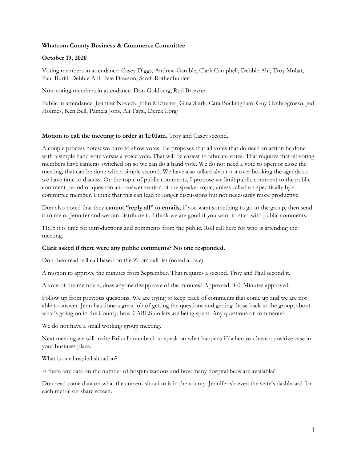### **Whatcom County Business & Commerce Committee**

### **October 19, 2020**

Voting members in attendance: Casey Diggs, Andrew Gamble, Clark Campbell, Debbie Ahl, Troy Muljat, Paul Burill, Debbie Ahl, Pete Dawson, Sarah Rothenbuhler

Non-voting members in attendance: Don Goldberg, Rud Browne

Public in attendance: Jennifer Noveck, John Michener, Gina Stark, Cara Buckingham, Guy Occhiogrosso, Jed Holmes, Ken Bell, Pamela Jons, Ali Taysi, Derek Long

### **Motion to call the meeting to order at 11:01am.** Troy and Casey second.

A couple process notes: we have to show votes. He proposes that all votes that do need an action be done with a simple hand vote versus a voice vote. That will be easiest to tabulate votes. That requires that all voting members have cameras switched on so we can do a hand vote. We do not need a vote to open or close the meeting, that can be done with a simple second. We have also talked about not over booking the agenda so we have time to discuss. On the topic of public comments, I propose we limit public comment to the public comment period or question and answer section of the speaker topic, unless called on specifically by a committee member. I think that this can lead to longer discussions but not necessarily more productive.

Don also noted that they **cannot "reply all" to emails**, if you want something to go to the group, then send it to me or Jennifer and we can distribute it. I think we are good if you want to start with public comments.

11:05 it is time for introductions and comments from the public. Roll call here for who is attending the meeting.

#### **Clark asked if there were any public comments? No one responded.**

Don then read roll call based on the Zoom call list (noted above).

A motion to approve the minutes from September. That requires a second. Troy and Paul second it.

A vote of the members, does anyone disapprove of the minutes? Approved. 8-0. Minutes approved.

Follow up from previous questions. We are trying to keep track of comments that come up and we are not able to answer. Jenn has done a great job of getting the questions and getting those back to the group, about what's going on in the County, how CARES dollars are being spent. Any questions or comments?

We do not have a small working group meeting.

Next meeting we will invite Erika Lautenbach to speak on what happens if/when you have a positive case in your business place.

What is our hospital situation?

Is there any data on the number of hospitalizations and how many hospital beds are available?

Don read some data on what the current situation is in the county. Jennifer showed the state's dashboard for each metric on share screen.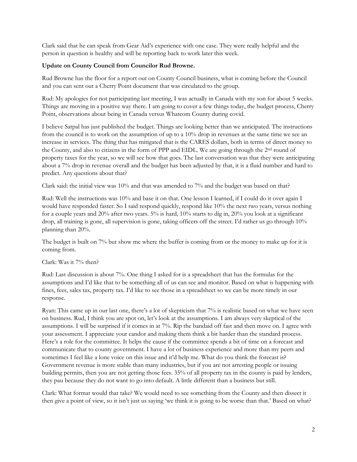Clark said that he can speak from Gear Aid's experience with one case. They were really helpful and the person in question is healthy and will be reporting back to work later this week.

### **Update on County Council from Councilor Rud Browne.**

Rud Browne has the floor for a report out on County Council business, what is coming before the Council and you can sent out a Cherry Point document that was circulated to the group.

Rud: My apologies for not participating last meeting, I was actually in Canada with my son for about 5 weeks. Things are moving in a positive way there. I am going to cover a few things today, the budget process, Cherry Point, observations about being in Canada versus Whatcom County during covid.

I believe Satpal has just published the budget. Things are looking better than we anticipated. The instructions from the council is to work on the assumption of up to a 10% drop in revenues at the same time we see an increase in services. The thing that has mitigated that is the CARES dollars, both in terms of direct money to the County, and also to citizens in the form of PPP and EIDL. We are going through the 2nd round of property taxes for the year, so we will see how that goes. The last conversation was that they were anticipating about a 7% drop in revenue overall and the budget has been adjusted by that, it is a fluid number and hard to predict. Any questions about that?

Clark said: the initial view was 10% and that was amended to 7% and the budget was based on that?

Rud: Well the instructions was 10% and base it on that. One lesson I learned, if I could do it over again I would have responded faster. So I said respond quickly, respond like 10% the next two years, versus nothing for a couple years and 20% after two years. 5% is hard, 10% starts to dig in, 20% you look at a significant drop, all training is gone, all supervision is gone, taking officers off the street. I'd rather us go through 10% planning than 20%.

The budget is built on 7% but show me where the buffer is coming from or the money to make up for it is coming from.

### Clark: Was it 7% then?

Rud: Last discussion is about 7%. One thing I asked for is a spreadsheet that has the formulas for the assumptions and I'd like that to be something all of us can see and monitor. Based on what is happening with fines, fees, sales tax, property tax. I'd like to see those in a spreadsheet so we can be more timely in our response.

Ryan: This came up in our last one, there's a lot of skepticism that 7% is realistic based on what we have seen on business. Rud, I think you are spot on, let's look at the assumptions. I am always very skeptical of the assumptions. I will be surprised if it comes in at 7%. Rip the bandaid off fast and then move on. I agree with your assessment. I appreciate your candor and making them think a bit harder than the standard process. Here's a role for the committee. It helps the cause if the committee spends a bit of time on a forecast and communicate that to county government. I have a lot of business experience and more than my peers and sometimes I feel like a lone voice on this issue and it'd help me. What do you think the forecast is? Government revenue is more stable than many industries, but if you are not arresting people or issuing building permits, then you are not getting those fees. 35% of all property tax in the county is paid by lenders, they pau because they do not want to go into default. A little different than a business but still.

Clark: What format would that take? We would need to see something from the County and then dissect it then give a point of view, so it isn't just us saying 'we think it is going to be worse than that.' Based on what?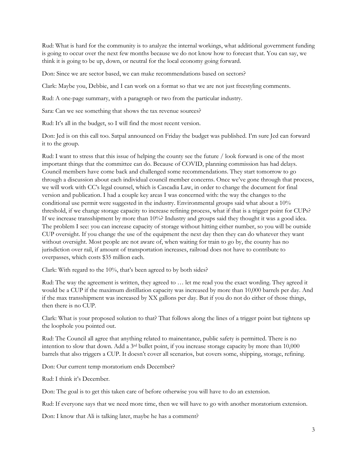Rud: What is hard for the community is to analyze the internal workings, what additional government funding is going to occur over the next few months because we do not know how to forecast that. You can say, we think it is going to be up, down, or neutral for the local economy going forward.

Don: Since we are sector based, we can make recommendations based on sectors?

Clark: Maybe you, Debbie, and I can work on a format so that we are not just freestyling comments.

Rud: A one-page summary, with a paragraph or two from the particular industry.

Sara: Can we see something that shows the tax revenue sources?

Rud: It's all in the budget, so I will find the most recent version.

Don: Jed is on this call too. Satpal announced on Friday the budget was published. I'm sure Jed can forward it to the group.

Rud: I want to stress that this issue of helping the county see the future / look forward is one of the most important things that the committee can do. Because of COVID, planning commission has had delays. Council members have come back and challenged some recommendations. They start tomorrow to go through a discussion about each individual council member concerns. Once we've gone through that process, we will work with CC's legal counsel, which is Cascadia Law, in order to change the document for final version and publication. I had a couple key areas I was concerned with: the way the changes to the conditional use permit were suggested in the industry. Environmental groups said what about a 10% threshold, if we change storage capacity to increase refining process, what if that is a trigger point for CUPs? If we increase transshipment by more than 10%? Industry and groups said they thought it was a good idea. The problem I see: you can increase capacity of storage without hitting either number, so you will be outside CUP oversight. If you change the use of the equipment the next day then they can do whatever they want without oversight. Most people are not aware of, when waiting for train to go by, the county has no jurisdiction over rail, if amount of transportation increases, railroad does not have to contribute to overpasses, which costs \$35 million each.

Clark: With regard to the 10%, that's been agreed to by both sides?

Rud: The way the agreement is written, they agreed to … let me read you the exact wording. They agreed it would be a CUP if the maximum distillation capacity was increased by more than 10,000 barrels per day. And if the max transshipment was increased by XX gallons per day. But if you do not do either of those things, then there is no CUP.

Clark: What is your proposed solution to that? That follows along the lines of a trigger point but tightens up the loophole you pointed out.

Rud: The Council all agree that anything related to mainentance, public safety is permitted. There is no intention to slow that down. Add a 3rd bullet point, if you increase storage capacity by more than 10,000 barrels that also triggers a CUP. It doesn't cover all scenarios, but covers some, shipping, storage, refining.

Don: Our current temp moratorium ends December?

Rud: I think it's December.

Don: The goal is to get this taken care of before otherwise you will have to do an extension.

Rud: If everyone says that we need more time, then we will have to go with another moratorium extension.

Don: I know that Ali is talking later, maybe he has a comment?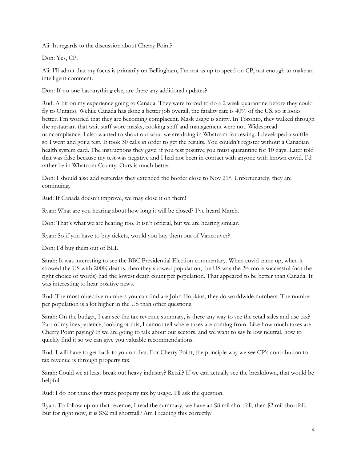Ali: In regards to the discussion about Cherry Point?

Don: Yes, CP.

Ali: I'll admit that my focus is primarily on Bellingham, I'm not as up to speed on CP, not enough to make an intelligent comment.

Don: If no one has anything else, are there any additional updates?

Rud: A bit on my experience going to Canada. They were forced to do a 2 week quarantine before they could fly to Ontario. Wehile Canada has done a better job overall, the fatality rate is 40% of the US, so it looks better. I'm worried that they are becoming complacent. Mask usage is shitty. In Toronto, they walked through the restaurant that wait staff wore masks, cooking staff and management were not. Widespread noncompliance. I also wanted to shout out what we are doing in Whatcom for testing. I developed a sniffle so I went and got a test. It took 30 calls in order to get the results. You couldn't register without a Canadian health system card. The instructions they gave: if you test positive you must quarantine for 10 days. Later told that was false because my test was negative and I had not been in contact with anyone with known covid. I'd rather be in Whatcom County. Ours is much better.

Don: I should also add yesterday they extended the border close to Nov 21<sup>st</sup>. Unfortunately, they are continuing.

Rud: If Canada doesn't improve, we may close it on them!

Ryan: What are you hearing about how long it will be closed? I've heard March.

Don: That's what we are hearing too. It isn't official, but we are hearing similar.

Ryan: So if you have to buy tickets, would you buy them out of Vancouver?

Don: I'd buy them out of BLI.

Sarah: It was interesting to see the BBC Presidential Election commentary. When covid came up, when it showed the US with 200K deaths, then they showed population, the US was the 2nd more successful (not the right choice of words) had the lowest death count per population. That appeared to be better than Canada. It was interesting to hear positive news.

Rud: The most objective numbers you can find are John Hopkins, they do worldwide numbers. The number per population is a lot higher in the US than other questions.

Sarah: On the budget, I can see the tax revenue summary, is there any way to see the retail sales and use tax? Part of my inexperience, looking at this, I cannot tell where taxes are coming from. Like how much taxes are Cherry Point paying? If we are going to talk about our sectors, and we want to say hi low neutral, how to quickly find it so we can give you valuable recommendations.

Rud: I will have to get back to you on that. For Cherry Point, the principle way we see CP's contribution to tax revenue is through property tax.

Sarah: Could we at least break out heavy industry? Retail? If we can actually see the breakdown, that would be helpful.

Rud: I do not think they track property tax by usage. I'll ask the question.

Ryan: To follow up on that revenue, I read the summary, we have an \$8 mil shortfall, then \$2 mil shortfall. But for right now, it is \$32 mil shortfall? Am I reading this correctly?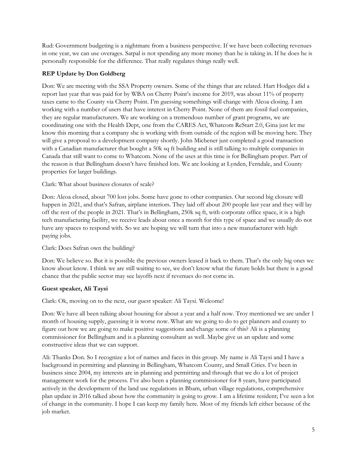Rud: Government budgeting is a nightmare from a business perspective. If we have been collecting revenues in one year, we can use overages. Satpal is not spending any more money than he is taking in. If he does he is personally responsible for the difference. That really regulates things really well.

# **REP Update by Don Goldberg**

Don: We are meeting with the SSA Property owners. Some of the things that are related. Hart Hodges did a report last year that was paid for by WBA on Cherry Point's income for 2019, was about 11% of property taxes came to the County via Cherry Point. I'm guessing somethings will change with Alcoa closing. I am working with a number of users that have interest in Cherry Point. None of them are fossil fuel companies, they are regular manufacturers. We are working on a tremendous number of grant programs, we are coordinating one with the Health Dept, one from the CARES Act, Whatcom ReStart 2.0, Gina just let me know this morning that a company she is working with from outside of the region will be moving here. They will give a proposal to a development company shortly. John Michener just completed a good transaction with a Canadian manufacturer that bought a 50k sq ft building and is still talking to multiple companies in Canada that still want to come to Whatcom. None of the uses at this time is for Bellingham proper. Part of the reason is that Bellingham doesn't have finished lots. We are looking at Lynden, Ferndale, and County properties for larger buildings.

# Clark: What about business closures of scale?

Don: Alcoa closed, about 700 lost jobs. Some have gone to other companies. Our second big closure will happen in 2021, and that's Safran, airplane interiors. They laid off about 200 people last year and they will lay off the rest of the people in 2021. That's in Bellingham, 250k sq ft, with corporate office space, it is a high tech manufacturing facility, we receive leads about once a month for this type of space and we usually do not have any spaces to respond with. So we are hoping we will turn that into a new manufacturer with high paying jobs.

### Clark: Does Safran own the building?

Don: We believe so. But it is possible the previous owners leased it back to them. That's the only big ones we know about know. I think we are still waiting to see, we don't know what the future holds but there is a good chance that the public sector may see layoffs next if revenues do not come in.

# **Guest speaker, Ali Taysi**

Clark: Ok, moving on to the next, our guest speaker: Ali Taysi. Welcome!

Don: We have all been talking about housing for about a year and a half now. Troy mentioned we are under 1 month of housing supply, guessing it is worse now. What are we going to do to get planners and county to figure out how we are going to make positive suggestions and change some of this? Ali is a planning commissioner for Bellingham and is a planning consultant as well. Maybe give us an update and some constructive ideas that we can support.

Ali: Thanks Don. So I recognize a lot of names and faces in this group. My name is Ali Taysi and I have a background in permitting and planning in Bellingham, Whatcom County, and Small Cities. I've been in business since 2004, my interests are in planning and permitting and through that we do a lot of project management work for the process. I've also been a planning commissioner for 8 years, have participated actively in the development of the land use regulations in Bham, urban village regulations, comprehensive plan update in 2016 talked about how the community is going to grow. I am a lifetime resident; I've seen a lot of change in the community. I hope I can keep my family here. Most of my friends left either because of the job market.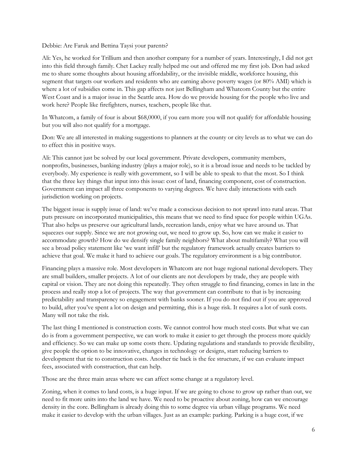#### Debbie: Are Faruk and Bettina Taysi your parents?

Ali: Yes, he worked for Trillium and then another company for a number of years. Interestingly, I did not get into this field through family. Chet Lackey really helped me out and offered me my first job. Don had asked me to share some thoughts about housing affordability, or the invisible middle, workforce housing, this segment that targets our workers and residents who are earning above poverty wages (or 80% AMI) which is where a lot of subsidies come in. This gap affects not just Bellingham and Whatcom County but the entire West Coast and is a major issue in the Seattle area. How do we provide housing for the people who live and work here? People like firefighters, nurses, teachers, people like that.

In Whatcom, a family of four is about \$68,0000, if you earn more you will not qualify for affordable housing but you will also not qualify for a mortgage.

Don: We are all interested in making suggestions to planners at the county or city levels as to what we can do to effect this in positive ways.

Ali: This cannot just be solved by our local government. Private developers, community members, nonprofits, businesses, banking industry (plays a major role), so it is a broad issue and needs to be tackled by everybody. My experience is really with government, so I will be able to speak to that the most. So I think that the three key things that input into this issue: cost of land, financing component, cost of construction. Government can impact all three components to varying degrees. We have daily interactions with each jurisdiction working on projects.

The biggest issue is supply issue of land: we've made a conscious decision to not sprawl into rural areas. That puts pressure on incorporated municipalities, this means that we need to find space for people within UGAs. That also helps us preserve our agricultural lands, recreation lands, enjoy what we have around us. That squeezes our supply. Since we are not growing out, we need to grow up. So, how can we make it easier to accommodate growth? How do we densify single family neighbors? What about multifamily? What you will see a broad policy statement like 'we want infill' but the regulatory framework actually creates barriers to achieve that goal. We make it hard to achieve our goals. The regulatory environment is a big contributor.

Financing plays a massive role. Most developers in Whatcom are not huge regional national developers. They are small builders, smaller projects. A lot of our clients are not developers by trade, they are people with capital or vision. They are not doing this repeatedly. They often struggle to find financing, comes in late in the process and really stop a lot of projects. The way that government can contribute to that is by increasing predictability and transparency so engagement with banks sooner. If you do not find out if you are approved to build, after you've spent a lot on design and permitting, this is a huge risk. It requires a lot of sunk costs. Many will not take the risk.

The last thing I mentioned is construction costs. We cannot control how much steel costs. But what we can do is from a government perspective, we can work to make it easier to get through the process more quickly and efficiency. So we can make up some costs there. Updating regulations and standards to provide flexibility, give people the option to be innovative, changes in technology or designs, start reducing barriers to development that tie to construction costs. Another tie back is the fee structure, if we can evaluate impact fees, associated with construction, that can help.

Those are the three main areas where we can affect some change at a regulatory level.

Zoning, when it comes to land costs, is a huge input. If we are going to chose to grow up rather than out, we need to fit more units into the land we have. We need to be proactive about zoning, how can we encourage density in the core. Bellingham is already doing this to some degree via urban village programs. We need make it easier to develop with the urban villages. Just as an example: parking. Parking is a huge cost, if we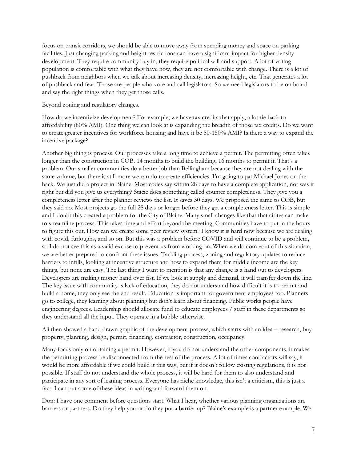focus on transit corridors, we should be able to move away from spending money and space on parking facilities. Just changing parking and height restrictions can have a significant impact for higher density development. They require community buy in, they require political will and support. A lot of voting population is comfortable with what they have now, they are not comfortable with change. There is a lot of pushback from neighbors when we talk about increasing density, increasing height, etc. That generates a lot of pushback and fear. Those are people who vote and call legislators. So we need legislators to be on board and say the right things when they get those calls.

#### Beyond zoning and regulatory changes.

How do we incentivize development? For example, we have tax credits that apply, a lot tie back to affordability (80% AMI). One thing we can look at is expanding the breadth of those tax credits. Do we want to create greater incentives for workforce housing and have it be 80-150% AMI? Is there a way to expand the incentive package?

Another big thing is process. Our processes take a long time to achieve a permit. The permitting often takes longer than the construction in COB. 14 months to build the building, 16 months to permit it. That's a problem. Our smaller communities do a better job than Bellingham because they are not dealing with the same volume, but there is still more we can do to create efficiencies. I'm going to pat Michael Jones on the back. We just did a project in Blaine. Most codes say within 28 days to have a complete application, not was it right but did you give us everything? Stacie does something called counter completeness. They give you a completeness letter after the planner reviews the list. It saves 30 days. We proposed the same to COB, but they said no. Most projects go the full 28 days or longer before they get a completeness letter. This is simple and I doubt this created a problem for the City of Blaine. Many small changes like that that citites can make to streamline process. This takes time and effort beyond the meeting. Communities have to put in the hours to figure this out. How can we create some peer review system? I know it is hard now because we are dealing with covid, furloughs, and so on. But this was a problem before COVID and will continue to be a problem, so I do not see this as a valid excuse to prevent us from working on. When we do com eout of this situation, we are better prepared to confront these issues. Tackling process, zoning and regulatory updates to reduce barriers to infills, looking at incentive structure and how to expand them for middle income are the key things, but none are easy. The last thing I want to mention is that any change is a hand out to developers. Developers are making money hand over fist. If we look at supply and demand, it will transfer down the line. The key issue with community is lack of education, they do not understand how difficult it is to permit and build a home, they only see the end result. Education is important for government employees too. Planners go to college, they learning about planning but don't learn about financing. Public works people have engineering degrees. Leadership should allocate fund to educate employees / staff in these departments so they understand all the input. They operate in a bubble otherwise.

Ali then showed a hand drawn graphic of the development process, which starts with an idea – research, buy property, planning, design, permit, financing, contractor, construction, occupancy.

Many focus only on obtaining a permit. However, if you do not understand the other components, it makes the permitting process be disconnected from the rest of the process. A lot of times contractors will say, it would be more affordable if we could build it this way, but if it doesn't follow existing regulations, it is not possible. If staff do not understand the whole process, it will be hard for them to also understand and participate in any sort of leaning process. Everyone has niche knowledge, this isn't a criticism, this is just a fact. I can put some of these ideas in writing and forward them on.

Don: I have one comment before questions start. What I hear, whether various planning organizations are barriers or partners. Do they help you or do they put a barrier up? Blaine's example is a partner example. We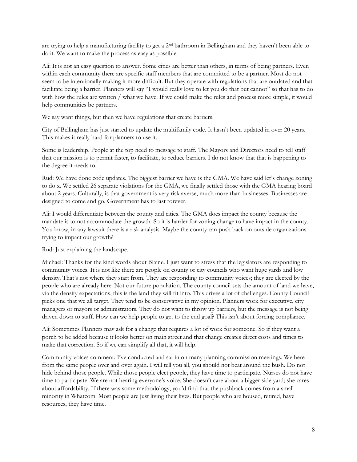are trying to help a manufacturing facility to get a 2nd bathroom in Bellingham and they haven't been able to do it. We want to make the process as easy as possible.

Ali: It is not an easy question to answer. Some cities are better than others, in terms of being partners. Even within each community there are specific staff members that are committed to be a partner. Most do not seem to be intentionally making it more difficult. But they operate with regulations that are outdated and that facilitate being a barrier. Planners will say "I would really love to let you do that but cannot" so that has to do with how the rules are written / what we have. If we could make the rules and process more simple, it would help communities be partners.

We say want things, but then we have regulations that create barriers.

City of Bellingham has just started to update the multifamily code. It hasn't been updated in over 20 years. This makes it really hard for planners to use it.

Some is leadership. People at the top need to message to staff. The Mayors and Directors need to tell staff that our mission is to permit faster, to facilitate, to reduce barriers. I do not know that that is happening to the degree it needs to.

Rud: We have done code updates. The biggest barrier we have is the GMA. We have said let's change zoning to do x. We settled 26 separate violations for the GMA, we finally settled those with the GMA hearing board about 2 years. Culturally, is that government is very risk averse, much more than businesses. Businesses are designed to come and go. Government has to last forever.

Ali: I would differentiate between the county and cities. The GMA does impact the county because the mandate is to not accommodate the growth. So it is harder for zoning change to have impact in the county. You know, in any lawsuit there is a risk analysis. Maybe the county can push back on outside organizations trying to impact our growth?

Rud: Just explaining the landscape.

Michael: Thanks for the kind words about Blaine. I just want to stress that the legislators are responding to community voices. It is not like there are people on county or city councils who want huge yards and low density. That's not where they start from. They are responding to community voices; they are elected by the people who are already here. Not our future population. The county council sets the amount of land we have, via the density expectations, this is the land they will fit into. This drives a lot of challenges. County Council picks one that we all target. They tend to be conservative in my opinion. Planners work for executive, city managers or mayors or administrators. They do not want to throw up barriers, but the message is not being driven down to staff. How can we help people to get to the end goal? This isn't about forcing compliance.

Ali: Sometimes Planners may ask for a change that requires a lot of work for someone. So if they want a porch to be added because it looks better on main street and that change creates direct costs and times to make that correction. So if we can simplify all that, it will help.

Community voices comment: I've conducted and sat in on many planning commission meetings. We here from the same people over and over again. I will tell you all, you should not beat around the bush. Do not hide behind those people. While those people elect people, they have time to participate. Nurses do not have time to participate. We are not hearing everyone's voice. She doesn't care about a bigger side yard; she cares about affordability. If there was some methodology, you'd find that the pushback comes from a small minority in Whatcom. Most people are just living their lives. But people who are housed, retired, have resources, they have time.